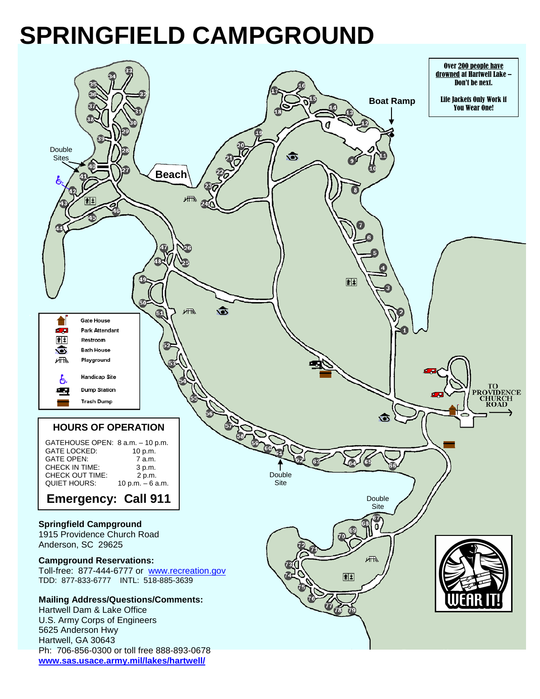## **SPRINGFIELD CAMPGROUND**